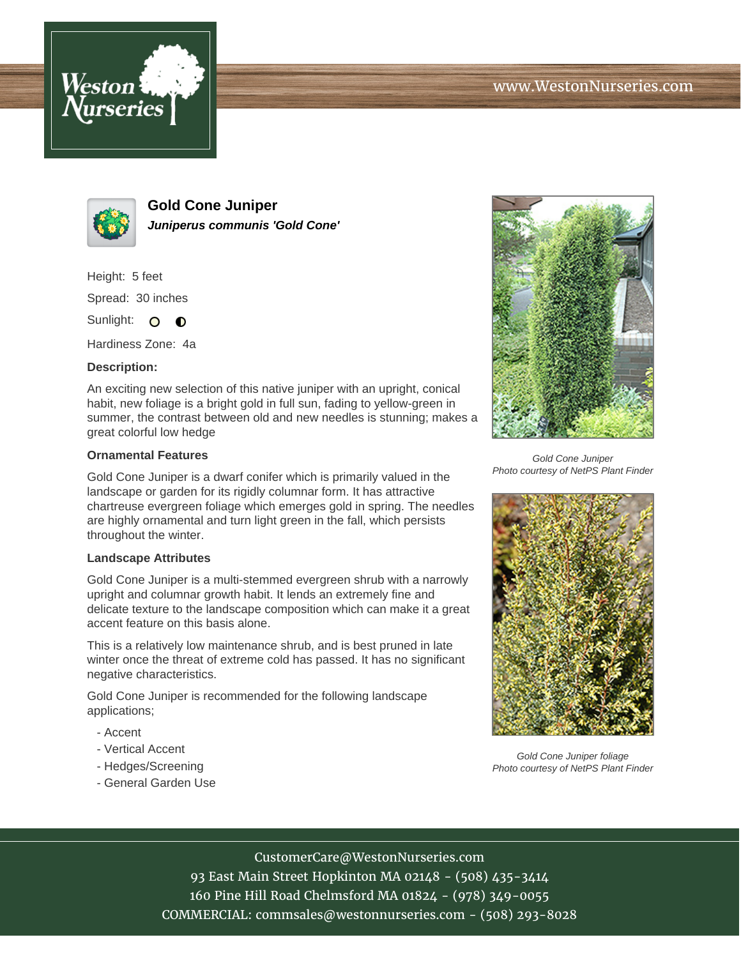



**Gold Cone Juniper Juniperus communis 'Gold Cone'**

Height: 5 feet Spread: 30 inches Sunlight: O **O** 

Hardiness Zone: 4a

## **Description:**

An exciting new selection of this native juniper with an upright, conical habit, new foliage is a bright gold in full sun, fading to yellow-green in summer, the contrast between old and new needles is stunning; makes a great colorful low hedge

## **Ornamental Features**

Gold Cone Juniper is a dwarf conifer which is primarily valued in the landscape or garden for its rigidly columnar form. It has attractive chartreuse evergreen foliage which emerges gold in spring. The needles are highly ornamental and turn light green in the fall, which persists throughout the winter.

#### **Landscape Attributes**

Gold Cone Juniper is a multi-stemmed evergreen shrub with a narrowly upright and columnar growth habit. It lends an extremely fine and delicate texture to the landscape composition which can make it a great accent feature on this basis alone.

This is a relatively low maintenance shrub, and is best pruned in late winter once the threat of extreme cold has passed. It has no significant negative characteristics.

Gold Cone Juniper is recommended for the following landscape applications;

- Accent
- Vertical Accent
- Hedges/Screening
- General Garden Use



Gold Cone Juniper Photo courtesy of NetPS Plant Finder



Gold Cone Juniper foliage Photo courtesy of NetPS Plant Finder

# CustomerCare@WestonNurseries.com

93 East Main Street Hopkinton MA 02148 - (508) 435-3414 160 Pine Hill Road Chelmsford MA 01824 - (978) 349-0055 COMMERCIAL: commsales@westonnurseries.com - (508) 293-8028